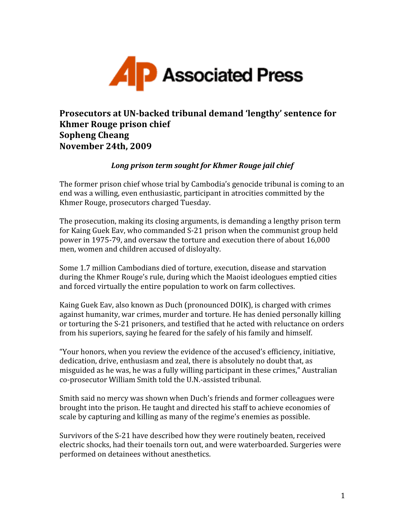

## **Prosecutors at UNbacked tribunal demand 'lengthy' sentence for Khmer Rouge prison chief Sopheng Cheang November 24th, 2009**

## *Long
prison
term
sought
for
Khmer
Rouge
jail
chief*

The former prison chief whose trial by Cambodia's genocide tribunal is coming to an end
was
a
willing,
even
enthusiastic,
participant
in
atrocities
committed
by
the Khmer
Rouge,
prosecutors
charged
Tuesday.

The prosecution, making its closing arguments, is demanding a lengthy prison term for
Kaing
Guek
Eav,
who
commanded
S‐21
prison
when
the
communist
group
held power in 1975-79, and oversaw the torture and execution there of about 16,000 men,
women
and
children
accused
of
disloyalty.

Some
1.7
million
Cambodians
died
of
torture,
execution,
disease
and
starvation during the Khmer Rouge's rule, during which the Maoist ideologues emptied cities and
forced
virtually
the
entire
population
to
work
on
farm
collectives.

Kaing Guek Eav, also known as Duch (pronounced DOIK), is charged with crimes against
humanity,
war
crimes,
murder
and
torture.
He
has
denied
personally
killing or
torturing
the
S‐21
prisoners,
and
testified
that
he
acted
with
reluctance
on
orders from
his
superiors,
saying
he
feared
for
the
safely
of
his
family
and
himself.

"Your honors, when you review the evidence of the accused's efficiency, initiative, dedication,
drive,
enthusiasm
and
zeal,
there
is
absolutely
no
doubt
that,
as misguided
as
he
was,
he
was
a
fully
willing
participant
in
these
crimes,"
Australian co‐prosecutor
William
Smith
told
the
U.N.‐assisted
tribunal.

Smith
said
no
mercy
was
shown
when
Duch's
friends
and
former
colleagues
were brought
into
the
prison.
He
taught
and
directed
his
staff
to
achieve
economies
of scale
by
capturing
and
killing
as
many
of
the
regime's
enemies
as
possible.

Survivors
of
the
S‐21
have
described
how
they
were
routinely
beaten,
received electric
shocks,
had
their
toenails
torn
out,
and
were
waterboarded.
Surgeries
were performed
on
detainees
without
anesthetics.